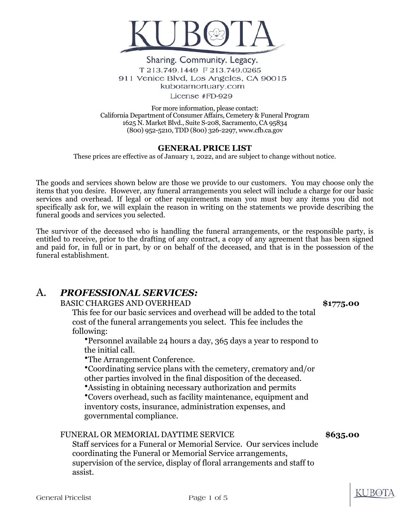

### Sharing. Community. Legacy. T 213.749.1449 F 213.749.0265 911 Venice Blvd, Los Angeles, CA 90015 kubotamortuary.com License #FD-929

For more information, please contact: California Department of Consumer Affairs, Cemetery & Funeral Program 1625 N. Market Blvd., Suite S-208, Sacramento, CA 95834 (800) 952-5210, TDD (800) 326-2297, www.cfb.ca.gov

## **GENERAL PRICE LIST**

These prices are effective as of January 1, 2022, and are subject to change without notice.

The goods and services shown below are those we provide to our customers. You may choose only the items that you desire. However, any funeral arrangements you select will include a charge for our basic services and overhead. If legal or other requirements mean you must buy any items you did not specifically ask for, we will explain the reason in writing on the statements we provide describing the funeral goods and services you selected.

The survivor of the deceased who is handling the funeral arrangements, or the responsible party, is entitled to receive, prior to the drafting of any contract, a copy of any agreement that has been signed and paid for, in full or in part, by or on behalf of the deceased, and that is in the possession of the funeral establishment.

# A. *PROFESSIONAL SERVICES:*

### BASIC CHARGES AND OVERHEAD **\$1775.00**

This fee for our basic services and overhead will be added to the total cost of the funeral arrangements you select. This fee includes the following:

•Personnel available 24 hours a day, 365 days a year to respond to the initial call.

•The Arrangement Conference.

•Coordinating service plans with the cemetery, crematory and/or other parties involved in the final disposition of the deceased.

•Assisting in obtaining necessary authorization and permits

•Covers overhead, such as facility maintenance, equipment and inventory costs, insurance, administration expenses, and governmental compliance.

## FUNERAL OR MEMORIAL DAYTIME SERVICE **\$635.00**

Staff services for a Funeral or Memorial Service. Our services include coordinating the Funeral or Memorial Service arrangements, supervision of the service, display of floral arrangements and staff to assist.

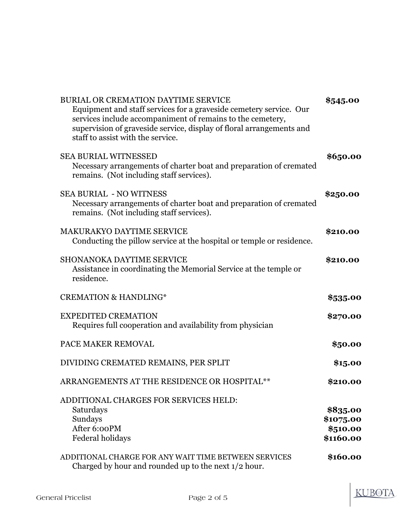| BURIAL OR CREMATION DAYTIME SERVICE<br>Equipment and staff services for a graveside cemetery service. Our<br>services include accompaniment of remains to the cemetery,<br>supervision of graveside service, display of floral arrangements and<br>staff to assist with the service. | \$545.00                                       |
|--------------------------------------------------------------------------------------------------------------------------------------------------------------------------------------------------------------------------------------------------------------------------------------|------------------------------------------------|
| <b>SEA BURIAL WITNESSED</b><br>Necessary arrangements of charter boat and preparation of cremated<br>remains. (Not including staff services).                                                                                                                                        | \$650.00                                       |
| <b>SEA BURIAL - NO WITNESS</b><br>Necessary arrangements of charter boat and preparation of cremated<br>remains. (Not including staff services).                                                                                                                                     | \$250.00                                       |
| <b>MAKURAKYO DAYTIME SERVICE</b><br>Conducting the pillow service at the hospital or temple or residence.                                                                                                                                                                            | \$210.00                                       |
| <b>SHONANOKA DAYTIME SERVICE</b><br>Assistance in coordinating the Memorial Service at the temple or<br>residence.                                                                                                                                                                   | \$210.00                                       |
| <b>CREMATION &amp; HANDLING*</b>                                                                                                                                                                                                                                                     | \$535.00                                       |
| <b>EXPEDITED CREMATION</b><br>Requires full cooperation and availability from physician                                                                                                                                                                                              | \$270.00                                       |
| PACE MAKER REMOVAL                                                                                                                                                                                                                                                                   | \$50.00                                        |
| DIVIDING CREMATED REMAINS, PER SPLIT                                                                                                                                                                                                                                                 | \$15.00                                        |
| ARRANGEMENTS AT THE RESIDENCE OR HOSPITAL**                                                                                                                                                                                                                                          | \$210.00                                       |
| ADDITIONAL CHARGES FOR SERVICES HELD:<br>Saturdays<br>Sundays<br>After 6:00PM<br><b>Federal holidays</b>                                                                                                                                                                             | \$835.00<br>\$1075.00<br>\$510.00<br>\$1160.00 |
| ADDITIONAL CHARGE FOR ANY WAIT TIME BETWEEN SERVICES                                                                                                                                                                                                                                 |                                                |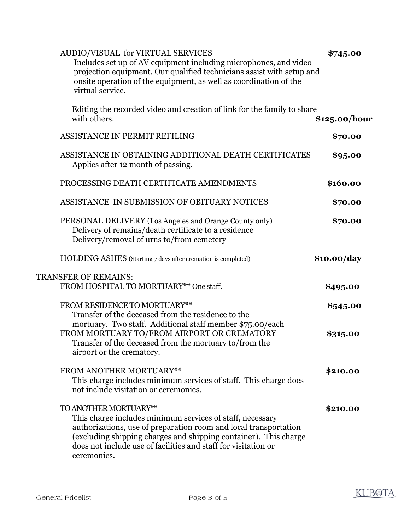| AUDIO/VISUAL for VIRTUAL SERVICES<br>Includes set up of AV equipment including microphones, and video<br>projection equipment. Our qualified technicians assist with setup and<br>onsite operation of the equipment, as well as coordination of the<br>virtual service.                                     | \$745.00      |
|-------------------------------------------------------------------------------------------------------------------------------------------------------------------------------------------------------------------------------------------------------------------------------------------------------------|---------------|
| Editing the recorded video and creation of link for the family to share<br>with others.                                                                                                                                                                                                                     | \$125.00/hour |
| ASSISTANCE IN PERMIT REFILING                                                                                                                                                                                                                                                                               | \$70.00       |
| ASSISTANCE IN OBTAINING ADDITIONAL DEATH CERTIFICATES<br>Applies after 12 month of passing.                                                                                                                                                                                                                 | \$95.00       |
| PROCESSING DEATH CERTIFICATE AMENDMENTS                                                                                                                                                                                                                                                                     | \$160.00      |
| ASSISTANCE IN SUBMISSION OF OBITUARY NOTICES                                                                                                                                                                                                                                                                | \$70.00       |
| PERSONAL DELIVERY (Los Angeles and Orange County only)<br>Delivery of remains/death certificate to a residence<br>Delivery/removal of urns to/from cemetery                                                                                                                                                 | \$70.00       |
| HOLDING ASHES (Starting 7 days after cremation is completed)                                                                                                                                                                                                                                                | \$10.00/day   |
| <b>TRANSFER OF REMAINS:</b>                                                                                                                                                                                                                                                                                 |               |
| FROM HOSPITAL TO MORTUARY** One staff.                                                                                                                                                                                                                                                                      | \$495.00      |
| FROM RESIDENCE TO MORTUARY**<br>Transfer of the deceased from the residence to the                                                                                                                                                                                                                          | \$545.00      |
| mortuary. Two staff. Additional staff member \$75.00/each<br>FROM MORTUARY TO/FROM AIRPORT OR CREMATORY<br>Transfer of the deceased from the mortuary to/from the<br>airport or the crematory.                                                                                                              | \$315.00      |
| FROM ANOTHER MORTUARY**<br>This charge includes minimum services of staff. This charge does<br>not include visitation or ceremonies.                                                                                                                                                                        | \$210.00      |
| TO ANOTHER MORTUARY**<br>This charge includes minimum services of staff, necessary<br>authorizations, use of preparation room and local transportation<br>(excluding shipping charges and shipping container). This charge<br>does not include use of facilities and staff for visitation or<br>ceremonies. | \$210.00      |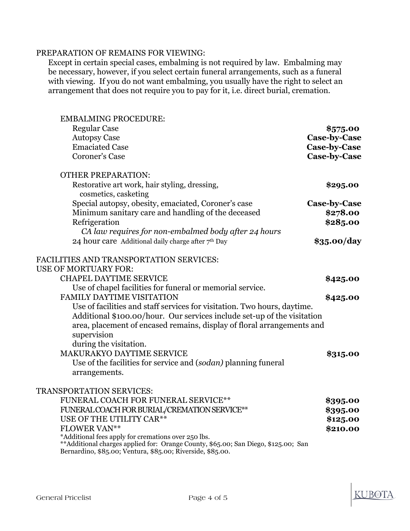### PREPARATION OF REMAINS FOR VIEWING:

Except in certain special cases, embalming is not required by law. Embalming may be necessary, however, if you select certain funeral arrangements, such as a funeral with viewing. If you do not want embalming, you usually have the right to select an arrangement that does not require you to pay for it, i.e. direct burial, cremation.

EMBALMING PROCEDURE: Regular Case **\$575.00** Autopsy Case **Case-by-Case** Emaciated Case **Case-by-Case** Coroner's Case **Case-by-Case** OTHER PREPARATION: Restorative art work, hair styling, dressing, **\$295.00** cosmetics, casketing Special autopsy, obesity, emaciated, Coroner's case **Case-by-Case** Minimum sanitary care and handling of the deceased **\$278.00** Refrigeration **\$285.00** *CA law requires for non-embalmed body after 24 hours* 24 hour care Additional daily charge after 7th Day **\$35.00/day** FACILITIES AND TRANSPORTATION SERVICES: USE OF MORTUARY FOR: CHAPEL DAYTIME SERVICE **\$425.00** Use of chapel facilities for funeral or memorial service. FAMILY DAYTIME VISITATION **\$425.00** Use of facilities and staff services for visitation. Two hours, daytime. Additional \$100.00/hour. Our services include set-up of the visitation area, placement of encased remains, display of floral arrangements and supervision during the visitation. MAKURAKYO DAYTIME SERVICE **\$315.00** Use of the facilities for service and (*sodan)* planning funeral arrangements. TRANSPORTATION SERVICES: FUNERAL COACH FOR FUNERAL SERVICE\*\* **\$395.00** FUNERAL COACH FOR BURIAL/CREMATION SERVICE\*\* **\$395.00** USE OF THE UTILITY CAR<sup>\*\*</sup> **\$125.00 FLOWER VAN\*\* but a set of the set of the set of the set of the set of the set of the set of the set of the set of the set of the set of the set of the set of the set of the set of the set of the set of the set of the se** \*Additional fees apply for cremations over 250 lbs. \*\*Additional charges applied for: Orange County, \$65.00; San Diego, \$125.00; San

Bernardino, \$85.00; Ventura, \$85.00; Riverside, \$85.00.



**TIBOT**